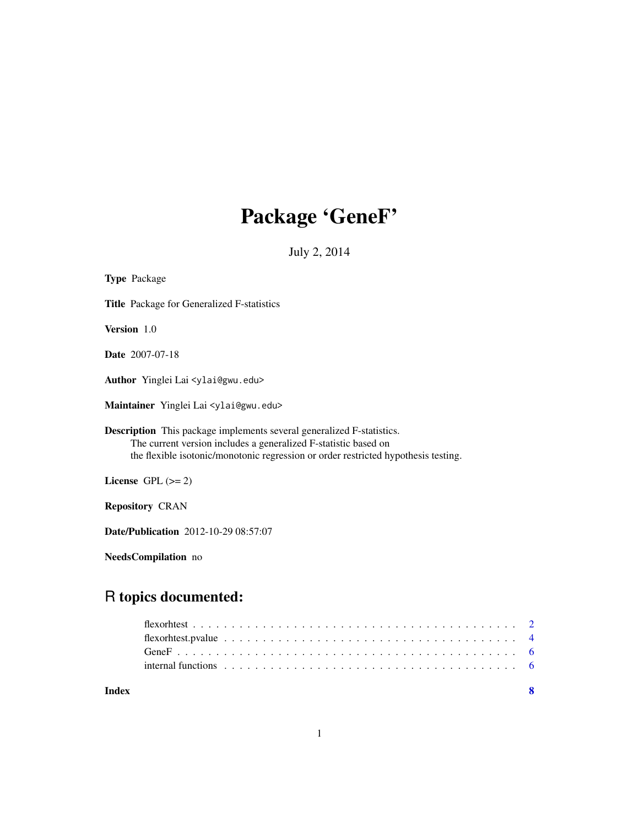# Package 'GeneF'

July 2, 2014

| <b>Type Package</b>                                                                                                                                                                                                                   |  |
|---------------------------------------------------------------------------------------------------------------------------------------------------------------------------------------------------------------------------------------|--|
| <b>Title</b> Package for Generalized F-statistics                                                                                                                                                                                     |  |
| Version 1.0                                                                                                                                                                                                                           |  |
| <b>Date</b> 2007-07-18                                                                                                                                                                                                                |  |
| Author Yinglei Lai <ylai@gwu.edu></ylai@gwu.edu>                                                                                                                                                                                      |  |
| Maintainer Yinglei Lai <ylai@gwu.edu></ylai@gwu.edu>                                                                                                                                                                                  |  |
| <b>Description</b> This package implements several generalized F-statistics.<br>The current version includes a generalized F-statistic based on<br>the flexible isotonic/monotonic regression or order restricted hypothesis testing. |  |
| License GPL $(>= 2)$                                                                                                                                                                                                                  |  |
| <b>Repository CRAN</b>                                                                                                                                                                                                                |  |
| <b>Date/Publication</b> 2012-10-29 08:57:07                                                                                                                                                                                           |  |
| NeedsCompilation no                                                                                                                                                                                                                   |  |
|                                                                                                                                                                                                                                       |  |

# R topics documented:

| Index |                                                                                                          | - 8 |
|-------|----------------------------------------------------------------------------------------------------------|-----|
|       | internal functions $\ldots \ldots \ldots \ldots \ldots \ldots \ldots \ldots \ldots \ldots \ldots \ldots$ |     |
|       |                                                                                                          |     |
|       |                                                                                                          |     |
|       |                                                                                                          |     |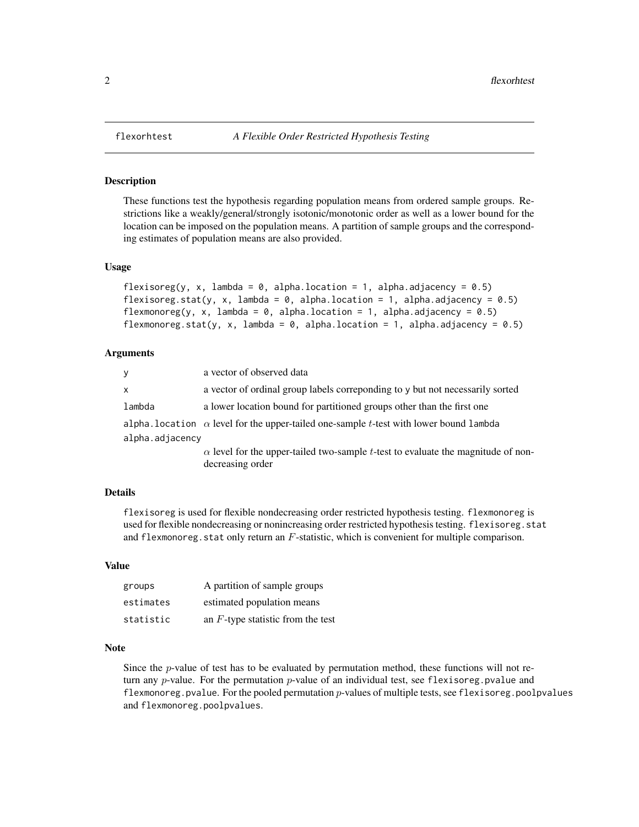#### Description

These functions test the hypothesis regarding population means from ordered sample groups. Restrictions like a weakly/general/strongly isotonic/monotonic order as well as a lower bound for the location can be imposed on the population means. A partition of sample groups and the corresponding estimates of population means are also provided.

#### Usage

```
flexisoreg(y, x, lambda = 0, alpha.location = 1, alpha.adjacency = 0.5)
flexisoreg.stat(y, x, lambda = 0, alpha.location = 1, alpha.adjacency = 0.5)
flexmonoreg(y, x, lambda = 0, alpha.location = 1, alpha.adjacency = 0.5)
flexmonoreg.stat(y, x, lambda = 0, alpha.location = 1, alpha.adjacency = 0.5)
```
#### Arguments

| y               | a vector of observed data                                                                     |  |
|-----------------|-----------------------------------------------------------------------------------------------|--|
| $\mathsf{x}$    | a vector of ordinal group labels correponding to y but not necessarily sorted                 |  |
| lambda          | a lower location bound for partitioned groups other than the first one                        |  |
|                 | alpha. location $\alpha$ level for the upper-tailed one-sample t-test with lower bound lambda |  |
| alpha.adjacency |                                                                                               |  |
|                 | $\alpha$ level for the upper-tailed two-sample t-test to evaluate the magnitude of non-       |  |
|                 | decreasing order                                                                              |  |

### Details

flexisoreg is used for flexible nondecreasing order restricted hypothesis testing. flexmonoreg is used for flexible nondecreasing or nonincreasing order restricted hypothesis testing. flexisoreg.stat and flexmonoreg. stat only return an  $F$ -statistic, which is convenient for multiple comparison.

# Value

| groups    | A partition of sample groups         |
|-----------|--------------------------------------|
| estimates | estimated population means           |
| statistic | an $F$ -type statistic from the test |

# Note

Since the  $p$ -value of test has to be evaluated by permutation method, these functions will not return any  $p$ -value. For the permutation  $p$ -value of an individual test, see flexisoreg. pvalue and flexmonoreg.pvalue. For the pooled permutation p-values of multiple tests, see flexisoreg.poolpvalues and flexmonoreg.poolpvalues.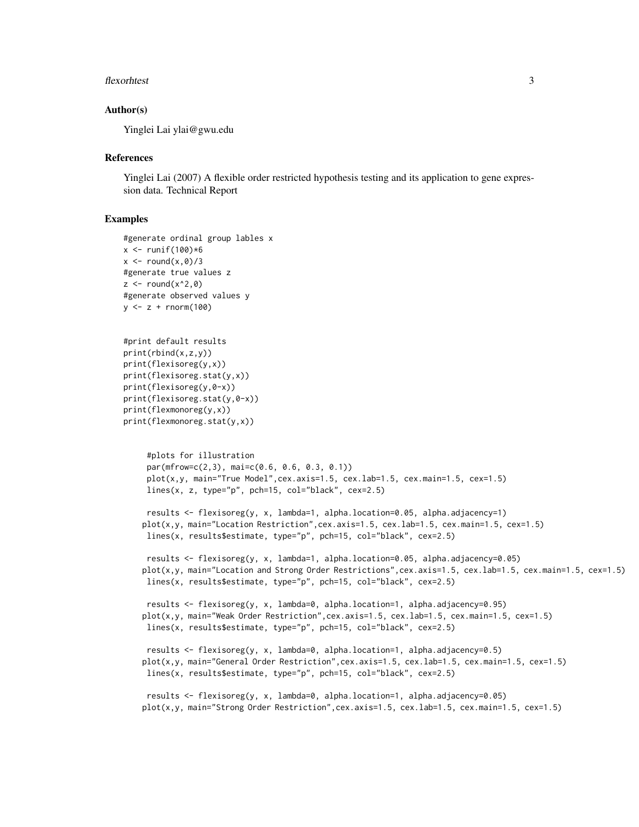#### flexorhtest 3

#### Author(s)

Yinglei Lai ylai@gwu.edu

#### **References**

Yinglei Lai (2007) A flexible order restricted hypothesis testing and its application to gene expression data. Technical Report

# Examples

```
#generate ordinal group lables x
x \le runif(100)*6x \leq round(x,0)/3
#generate true values z
z \le round(x^2,0)
#generate observed values y
y <- z + rnorm(100)
```

```
#print default results
print(rbind(x,z,y))
print(flexisoreg(y,x))
print(flexisoreg.stat(y,x))
print(flexisoreg(y,0-x))
print(flexisoreg.stat(y,0-x))
print(flexmonoreg(y,x))
print(flexmonoreg.stat(y,x))
```

```
#plots for illustration
par(mfrow=c(2,3), mai=c(0.6, 0.6, 0.3, 0.1))
plot(x,y, main="True Model",cex.axis=1.5, cex.lab=1.5, cex.main=1.5, cex=1.5)lines(x, z, type="p", pch=15, col="black", cex=2.5)
```

```
results <- flexisoreg(y, x, lambda=1, alpha.location=0.05, alpha.adjacency=1)
plot(x,y, main="Location Restriction",cex.axis=1.5, cex.lab=1.5, cex.main=1.5, cex=1.5)
lines(x, results$estimate, type="p", pch=15, col="black", cex=2.5)
```
results <- flexisoreg(y, x, lambda=1, alpha.location=0.05, alpha.adjacency=0.05) plot(x,y, main="Location and Strong Order Restrictions", cex.axis=1.5, cex.lab=1.5, cex.main=1.5, cex=1.5) lines(x, results\$estimate, type="p", pch=15, col="black", cex=2.5)

```
results <- flexisoreg(y, x, lambda=0, alpha.location=1, alpha.adjacency=0.95)
plot(x,y, main="Weak Order Restriction",cex.axis=1.5, cex.lab=1.5, cex.main=1.5, cex=1.5)
 lines(x, results$estimate, type="p", pch=15, col="black", cex=2.5)
```

```
results <- flexisoreg(y, x, lambda=0, alpha.location=1, alpha.adjacency=0.5)
plot(x,y, main="General Order Restriction",cex.axis=1.5, cex.lab=1.5, cex.main=1.5, cex=1.5)
lines(x, results$estimate, type="p", pch=15, col="black", cex=2.5)
```

```
results <- flexisoreg(y, x, lambda=0, alpha.location=1, alpha.adjacency=0.05)
plot(x,y, main="Strong Order Restriction",cex.axis=1.5, cex.lab=1.5, cex.main=1.5, cex=1.5)
```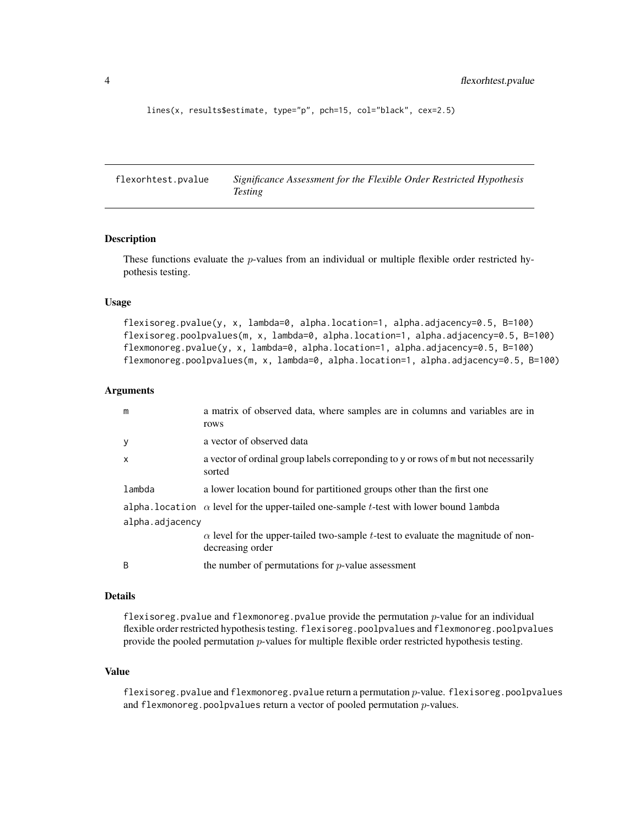```
lines(x, results$estimate, type="p", pch=15, col="black", cex=2.5)
```
flexorhtest.pvalue *Significance Assessment for the Flexible Order Restricted Hypothesis Testing*

### Description

These functions evaluate the *p*-values from an individual or multiple flexible order restricted hypothesis testing.

## Usage

flexisoreg.pvalue(y, x, lambda=0, alpha.location=1, alpha.adjacency=0.5, B=100) flexisoreg.poolpvalues(m, x, lambda=0, alpha.location=1, alpha.adjacency=0.5, B=100) flexmonoreg.pvalue(y, x, lambda=0, alpha.location=1, alpha.adjacency=0.5, B=100) flexmonoreg.poolpvalues(m, x, lambda=0, alpha.location=1, alpha.adjacency=0.5, B=100)

#### Arguments

| m               | a matrix of observed data, where samples are in columns and variables are in<br>rows                        |  |
|-----------------|-------------------------------------------------------------------------------------------------------------|--|
| y               | a vector of observed data                                                                                   |  |
| $\mathsf{x}$    | a vector of ordinal group labels correponding to y or rows of m but not necessarily<br>sorted               |  |
| lambda          | a lower location bound for partitioned groups other than the first one                                      |  |
|                 | alpha. location $\alpha$ level for the upper-tailed one-sample t-test with lower bound lambda               |  |
| alpha.adjacency |                                                                                                             |  |
|                 | $\alpha$ level for the upper-tailed two-sample t-test to evaluate the magnitude of non-<br>decreasing order |  |
| <sup>B</sup>    | the number of permutations for $p$ -value assessment                                                        |  |

#### Details

flexisoreg.pvalue and flexmonoreg.pvalue provide the permutation  $p$ -value for an individual flexible order restricted hypothesis testing. flexisoreg.poolpvalues and flexmonoreg.poolpvalues provide the pooled permutation p-values for multiple flexible order restricted hypothesis testing.

# Value

flexisoreg.pvalue and flexmonoreg.pvalue return a permutation p-value. flexisoreg.poolpvalues and flexmonoreg.poolpvalues return a vector of pooled permutation  $p$ -values.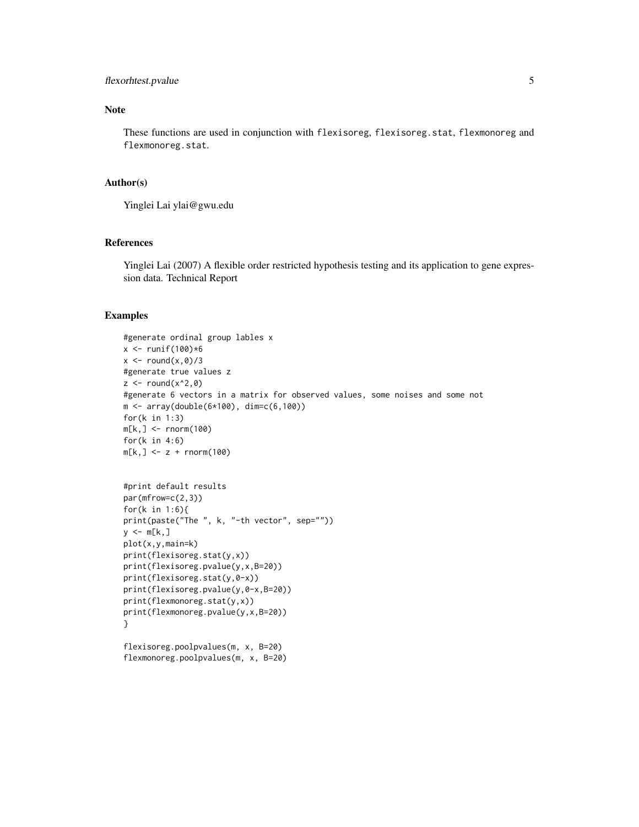# flexorhtest.pvalue 5

# Note

These functions are used in conjunction with flexisoreg, flexisoreg.stat, flexmonoreg and flexmonoreg.stat.

### Author(s)

Yinglei Lai ylai@gwu.edu

# References

Yinglei Lai (2007) A flexible order restricted hypothesis testing and its application to gene expression data. Technical Report

# Examples

```
#generate ordinal group lables x
x \leftarrow runif(100)*6x \le round(x,0)/3
#generate true values z
z \le round(x^2,0)
#generate 6 vectors in a matrix for observed values, some noises and some not
m <- array(double(6*100), dim=c(6,100))
for(k in 1:3)
m[k,] <- rnorm(100)
for(k in 4:6)
m[k, ] \leq z + \text{norm}(100)
```

```
#print default results
par(mfrow=c(2,3))
for(k in 1:6){
print(paste("The ", k, "-th vector", sep=""))
y \leq -m[k,]plot(x,y,main=k)
print(flexisoreg.stat(y,x))
print(flexisoreg.pvalue(y,x,B=20))
print(flexisoreg.stat(y,0-x))
print(flexisoreg.pvalue(y,0-x,B=20))
print(flexmonoreg.stat(y,x))
print(flexmonoreg.pvalue(y,x,B=20))
}
```

```
flexisoreg.poolpvalues(m, x, B=20)
flexmonoreg.poolpvalues(m, x, B=20)
```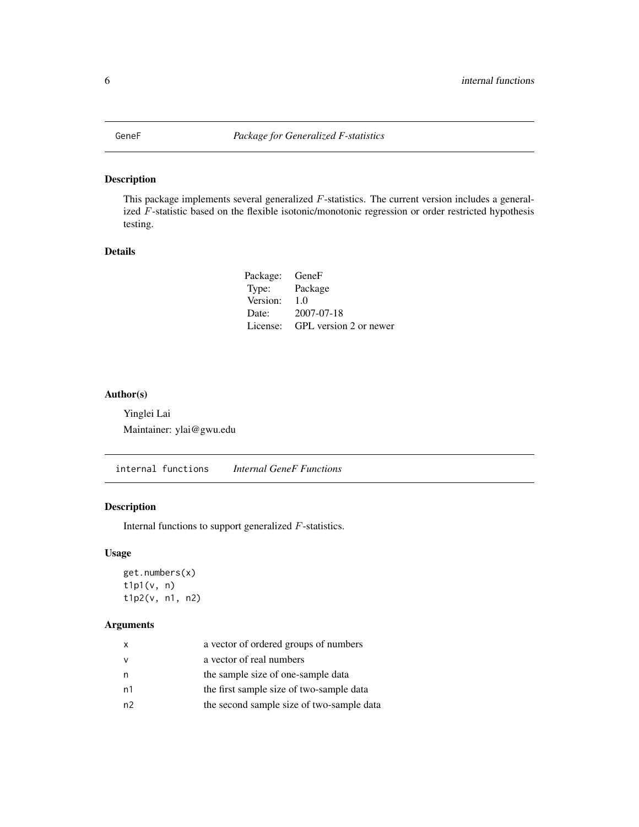<span id="page-5-0"></span>

# Description

This package implements several generalized F-statistics. The current version includes a generalized F-statistic based on the flexible isotonic/monotonic regression or order restricted hypothesis testing.

# Details

| Package: GeneF |                        |
|----------------|------------------------|
| Type:          | Package                |
| Version:       | 1.0                    |
| Date:          | $2007 - 07 - 18$       |
| License:       | GPL version 2 or newer |

# Author(s)

Yinglei Lai Maintainer: ylai@gwu.edu

internal functions *Internal GeneF Functions*

# Description

Internal functions to support generalized F-statistics.

# Usage

get.numbers(x) t1p1(v, n) t1p2(v, n1, n2)

# Arguments

| X  | a vector of ordered groups of numbers     |
|----|-------------------------------------------|
| v  | a vector of real numbers                  |
| n  | the sample size of one-sample data        |
| n1 | the first sample size of two-sample data  |
| n2 | the second sample size of two-sample data |
|    |                                           |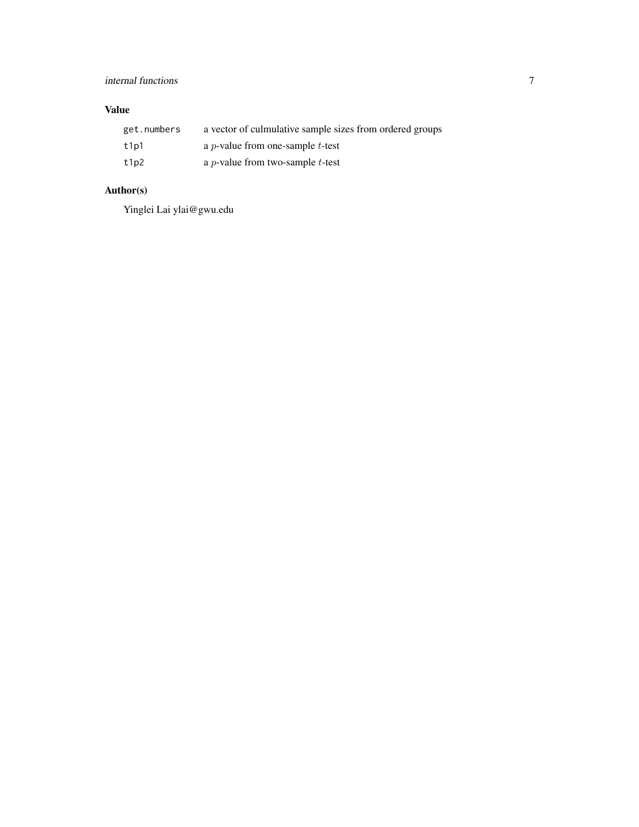# internal functions 7

# Value

| get.numbers | a vector of culmulative sample sizes from ordered groups |
|-------------|----------------------------------------------------------|
| t1p1        | a <i>p</i> -value from one-sample <i>t</i> -test         |
| t1p2        | a <i>p</i> -value from two-sample <i>t</i> -test         |

# Author(s)

Yinglei Lai ylai@gwu.edu